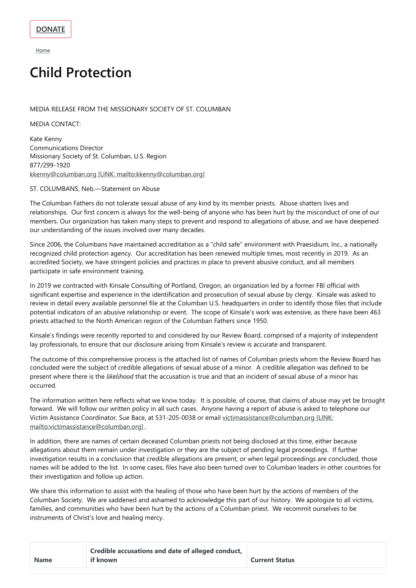**[Home](https://columban.org/)** 

# **Child Protection**

### MEDIA RELEASE FROM THE MISSIONARY SOCIETY OF ST. COLUMBAN

MEDIA CONTACT:

Kate Kenny Communications Director Missionary Society of St. Columban, U.S. Region 877/299-1920 kkenny@columban.org [LINK: [mailto:kkenny@columban.org\]](mailto:kkenny@columban.org)

#### ST. COLUMBANS, Neb.—Statement on Abuse

The Columban Fathers do not tolerate sexual abuse of any kind by its member priests. Abuse shatters lives and relationships. Our first concern is always for the well-being of anyone who has been hurt by the misconduct of one of our members. Our organization has taken many steps to prevent and respond to allegations of abuse, and we have deepened our understanding of the issues involved over many decades.

Since 2006, the Columbans have maintained accreditation as a "child safe" environment with Praesidium, Inc., a nationally recognized child protection agency. Our accreditation has been renewed multiple times, most recently in 2019. As an accredited Society, we have stringent policies and practices in place to prevent abusive conduct, and all members participate in safe environment training.

In 2019 we contracted with Kinsale Consulting of Portland, Oregon, an organization led by a former FBI official with significant expertise and experience in the identification and prosecution of sexual abuse by clergy. Kinsale was asked to review in detail every available personnel file at the Columban U.S. headquarters in order to identify those files that include potential indicators of an abusive relationship or event. The scope of Kinsale's work was extensive, as there have been 463 priests attached to the North American region of the Columban Fathers since 1950.

Kinsale's findings were recently reported to and considered by our Review Board, comprised of a majority of independent lay professionals, to ensure that our disclosure arising from Kinsale's review is accurate and transparent.

The outcome of this comprehensive process is the attached list of names of Columban priests whom the Review Board has concluded were the subject of credible allegations of sexual abuse of a minor. A credible allegation was defined to be present where there is the *likelihood* that the accusation is true and that an incident of sexual abuse of a minor has occurred.

The information written here reflects what we know today. It is possible, of course, that claims of abuse may yet be brought forward. We will follow our written policy in all such cases. Anyone having a report of abuse is asked to telephone our Victim Assistance Coordinator, Sue Bace, at 531-205-0038 or email victimassistance@columban.org [LINK: [mailto:victimassistance@columban.org\]](mailto:victimassistance@columban.org) .

In addition, there are names of certain deceased Columban priests not being disclosed at this time, either because

allegations about them remain under investigation or they are the subject of pending legal proceedings. If further investigation results in a conclusion that credible allegations are present, or when legal proceedings are concluded, those names will be added to the list. In some cases, files have also been turned over to Columban leaders in other countries for their investigation and follow up action.

We share this information to assist with the healing of those who have been hurt by the actions of members of the Columban Society. We are saddened and ashamed to acknowledge this part of our history. We apologize to all victims, families, and communities who have been hurt by the actions of a Columban priest. We recommit ourselves to be instruments of Christ's love and healing mercy.

|             | Credible accusations and date of alleged conduct, |                       |
|-------------|---------------------------------------------------|-----------------------|
| <b>Name</b> | if known                                          | <b>Current Status</b> |